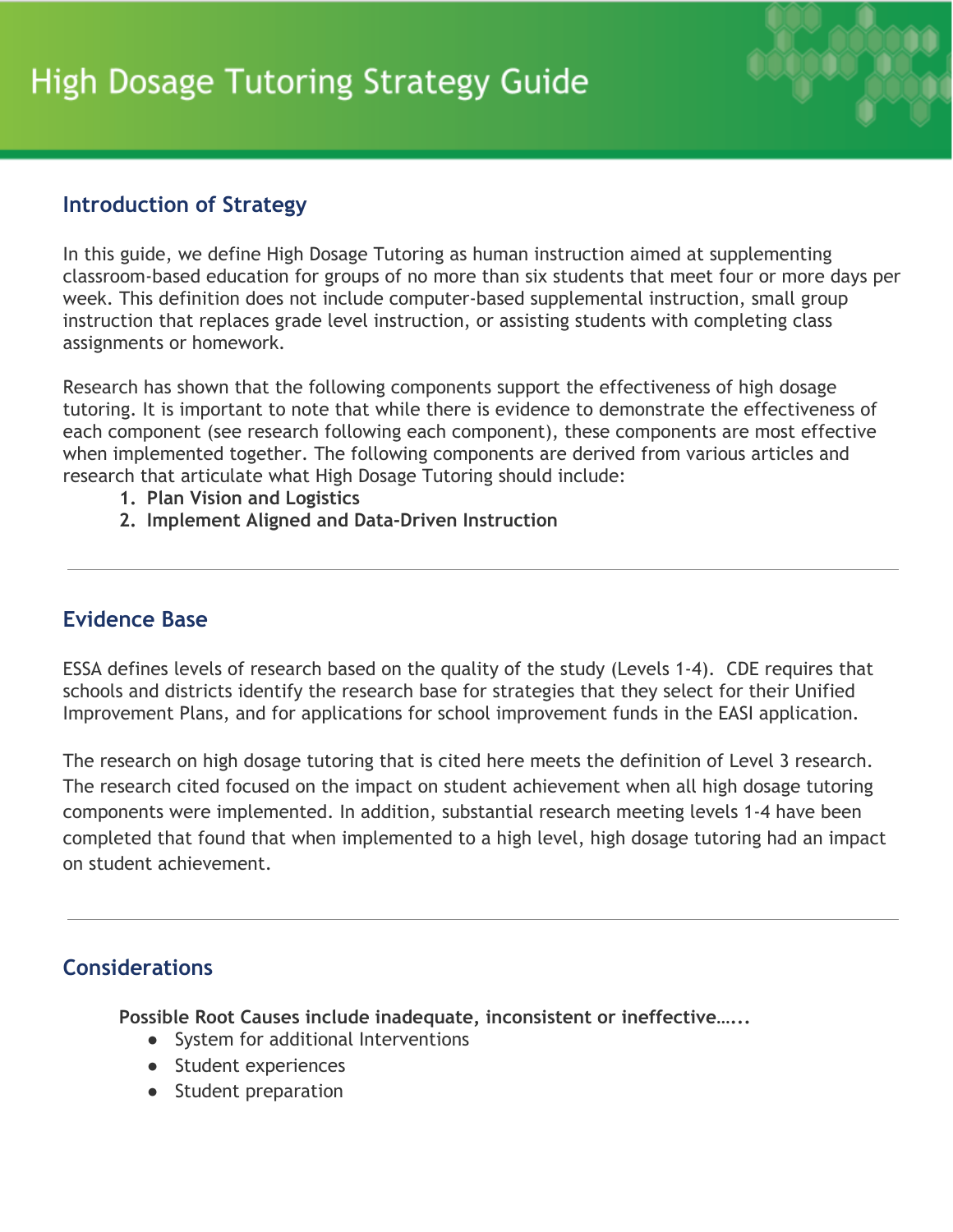

## **Introduction of Strategy**

In this guide, we define High Dosage Tutoring as human instruction aimed at supplementing classroom-based education for groups of no more than six students that meet four or more days per week. This definition does not include computer-based supplemental instruction, small group instruction that replaces grade level instruction, or assisting students with completing class assignments or homework.

Research has shown that the following components support the effectiveness of high dosage tutoring. It is important to note that while there is evidence to demonstrate the effectiveness of each component (see research following each component), these components are most effective when implemented together. The following components are derived from various articles and research that articulate what High Dosage Tutoring should include:

- **1. Plan Vision and Logistics**
- **2. Implement Aligned and Data-Driven Instruction**

# **Evidence Base**

ESSA defines levels of research based on the quality of the study (Levels 1-4). CDE requires that schools and districts identify the research base for strategies that they select for their Unified Improvement Plans, and for applications for school improvement funds in the EASI application.

The research on high dosage tutoring that is cited here meets the definition of Level 3 research. The research cited focused on the impact on student achievement when all high dosage tutoring components were implemented. In addition, substantial research meeting levels 1-4 have been completed that found that when implemented to a high level, high dosage tutoring had an impact on student achievement.

# **Considerations**

**Possible Root Causes include inadequate, inconsistent or ineffective…...**

- System for additional Interventions
- Student experiences
- Student preparation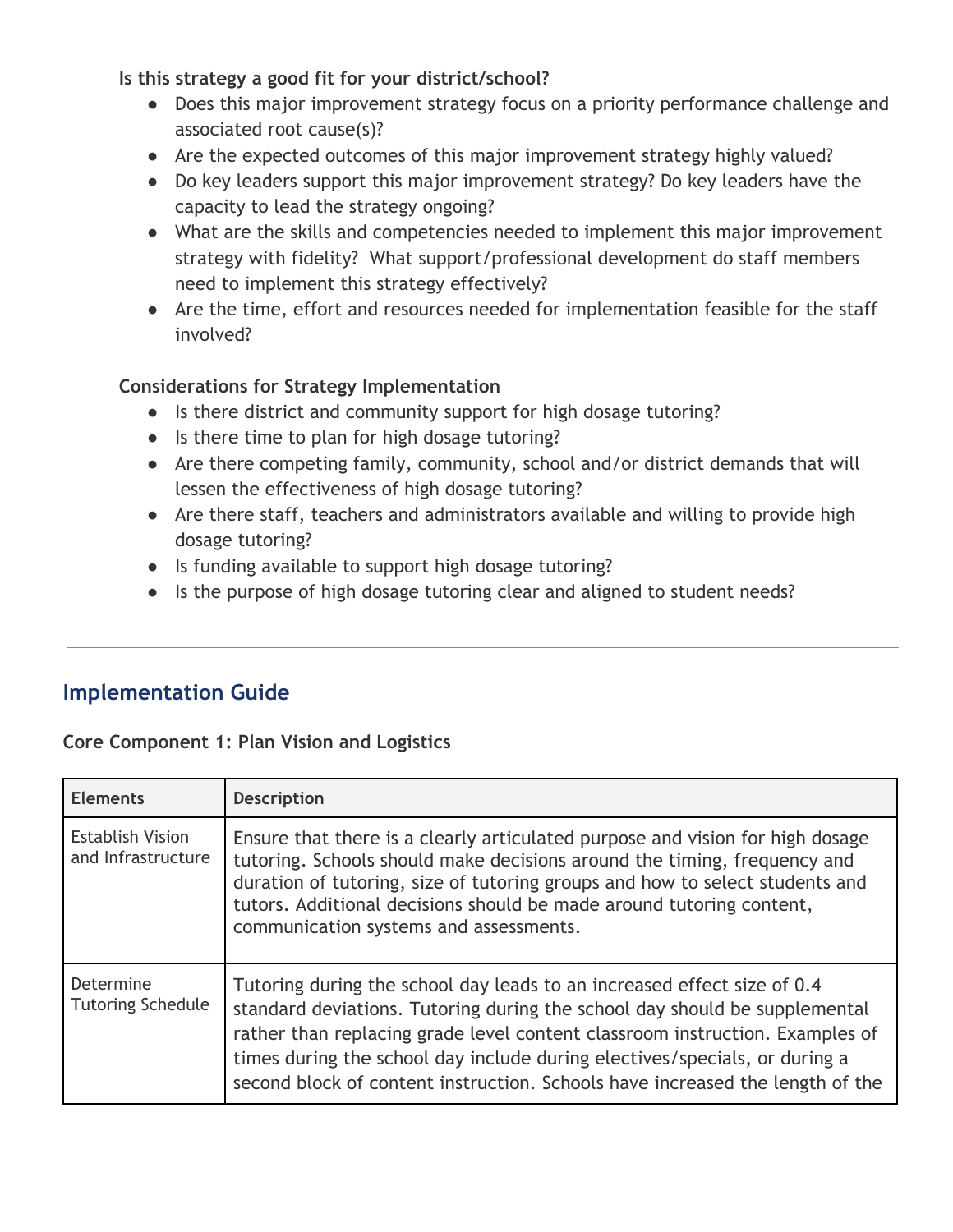**Is this strategy a good fit for your district/school?**

- Does this major improvement strategy focus on a priority performance challenge and associated root cause(s)?
- Are the expected outcomes of this major improvement strategy highly valued?
- Do key leaders support this major improvement strategy? Do key leaders have the capacity to lead the strategy ongoing?
- What are the skills and competencies needed to implement this major improvement strategy with fidelity? What support/professional development do staff members need to implement this strategy effectively?
- Are the time, effort and resources needed for implementation feasible for the staff involved?

### **Considerations for Strategy Implementation**

- Is there district and community support for high dosage tutoring?
- Is there time to plan for high dosage tutoring?
- Are there competing family, community, school and/or district demands that will lessen the effectiveness of high dosage tutoring?
- Are there staff, teachers and administrators available and willing to provide high dosage tutoring?
- Is funding available to support high dosage tutoring?
- Is the purpose of high dosage tutoring clear and aligned to student needs?

# **Implementation Guide**

#### **Core Component 1: Plan Vision and Logistics**

| <b>Elements</b>                               | <b>Description</b>                                                                                                                                                                                                                                                                                                                                                                                   |
|-----------------------------------------------|------------------------------------------------------------------------------------------------------------------------------------------------------------------------------------------------------------------------------------------------------------------------------------------------------------------------------------------------------------------------------------------------------|
| <b>Establish Vision</b><br>and Infrastructure | Ensure that there is a clearly articulated purpose and vision for high dosage<br>tutoring. Schools should make decisions around the timing, frequency and<br>duration of tutoring, size of tutoring groups and how to select students and<br>tutors. Additional decisions should be made around tutoring content,<br>communication systems and assessments.                                          |
| Determine<br><b>Tutoring Schedule</b>         | Tutoring during the school day leads to an increased effect size of 0.4<br>standard deviations. Tutoring during the school day should be supplemental<br>rather than replacing grade level content classroom instruction. Examples of<br>times during the school day include during electives/specials, or during a<br>second block of content instruction. Schools have increased the length of the |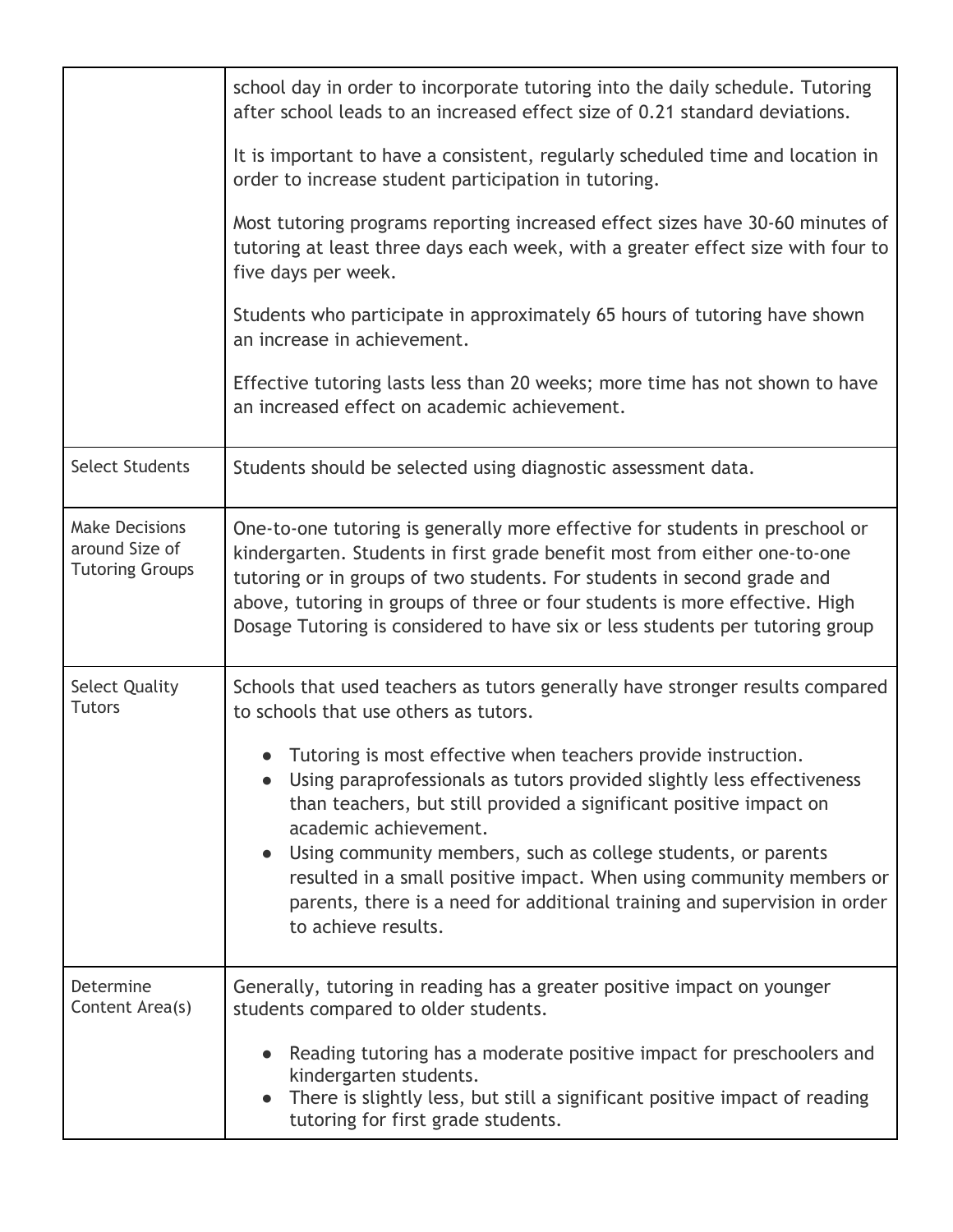|                                                                   | school day in order to incorporate tutoring into the daily schedule. Tutoring<br>after school leads to an increased effect size of 0.21 standard deviations.                                                                                                                                                                                                                                                                                                                          |  |  |
|-------------------------------------------------------------------|---------------------------------------------------------------------------------------------------------------------------------------------------------------------------------------------------------------------------------------------------------------------------------------------------------------------------------------------------------------------------------------------------------------------------------------------------------------------------------------|--|--|
|                                                                   | It is important to have a consistent, regularly scheduled time and location in<br>order to increase student participation in tutoring.                                                                                                                                                                                                                                                                                                                                                |  |  |
|                                                                   | Most tutoring programs reporting increased effect sizes have 30-60 minutes of<br>tutoring at least three days each week, with a greater effect size with four to<br>five days per week.                                                                                                                                                                                                                                                                                               |  |  |
|                                                                   | Students who participate in approximately 65 hours of tutoring have shown<br>an increase in achievement.                                                                                                                                                                                                                                                                                                                                                                              |  |  |
|                                                                   | Effective tutoring lasts less than 20 weeks; more time has not shown to have<br>an increased effect on academic achievement.                                                                                                                                                                                                                                                                                                                                                          |  |  |
| <b>Select Students</b>                                            | Students should be selected using diagnostic assessment data.                                                                                                                                                                                                                                                                                                                                                                                                                         |  |  |
| <b>Make Decisions</b><br>around Size of<br><b>Tutoring Groups</b> | One-to-one tutoring is generally more effective for students in preschool or<br>kindergarten. Students in first grade benefit most from either one-to-one<br>tutoring or in groups of two students. For students in second grade and<br>above, tutoring in groups of three or four students is more effective. High<br>Dosage Tutoring is considered to have six or less students per tutoring group                                                                                  |  |  |
| <b>Select Quality</b><br><b>Tutors</b>                            | Schools that used teachers as tutors generally have stronger results compared<br>to schools that use others as tutors.                                                                                                                                                                                                                                                                                                                                                                |  |  |
|                                                                   | • Tutoring is most effective when teachers provide instruction.<br>Using paraprofessionals as tutors provided slightly less effectiveness<br>than teachers, but still provided a significant positive impact on<br>academic achievement.<br>Using community members, such as college students, or parents<br>resulted in a small positive impact. When using community members or<br>parents, there is a need for additional training and supervision in order<br>to achieve results. |  |  |
| Determine<br>Content Area(s)                                      | Generally, tutoring in reading has a greater positive impact on younger<br>students compared to older students.                                                                                                                                                                                                                                                                                                                                                                       |  |  |
|                                                                   | Reading tutoring has a moderate positive impact for preschoolers and<br>kindergarten students.<br>There is slightly less, but still a significant positive impact of reading<br>tutoring for first grade students.                                                                                                                                                                                                                                                                    |  |  |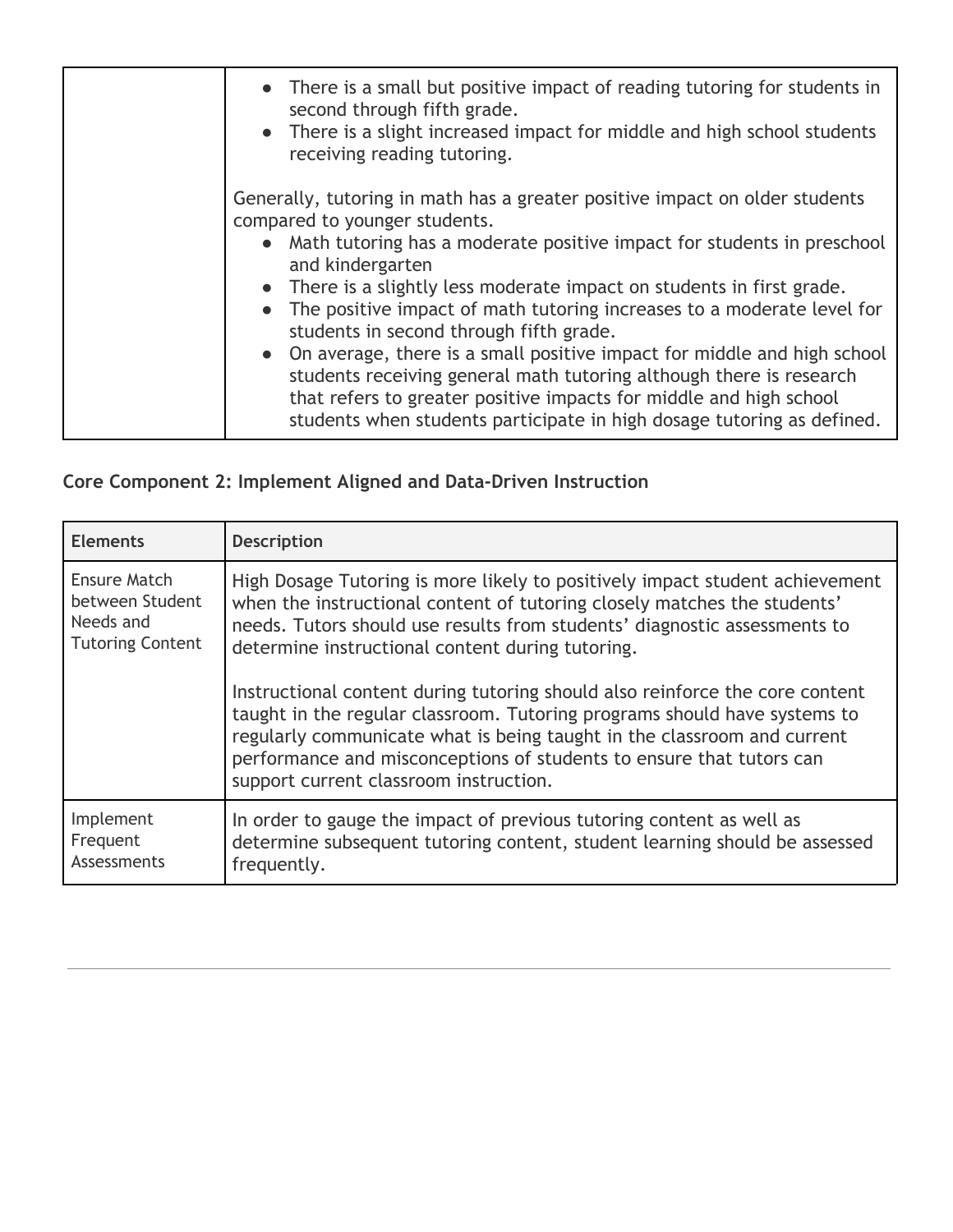| • There is a small but positive impact of reading tutoring for students in<br>second through fifth grade.<br>• There is a slight increased impact for middle and high school students<br>receiving reading tutoring.                                                                                                                                                                                                                                                                                                                                                                                                                                                                                            |
|-----------------------------------------------------------------------------------------------------------------------------------------------------------------------------------------------------------------------------------------------------------------------------------------------------------------------------------------------------------------------------------------------------------------------------------------------------------------------------------------------------------------------------------------------------------------------------------------------------------------------------------------------------------------------------------------------------------------|
| Generally, tutoring in math has a greater positive impact on older students<br>compared to younger students.<br>• Math tutoring has a moderate positive impact for students in preschool<br>and kindergarten<br>• There is a slightly less moderate impact on students in first grade.<br>The positive impact of math tutoring increases to a moderate level for<br>students in second through fifth grade.<br>• On average, there is a small positive impact for middle and high school<br>students receiving general math tutoring although there is research<br>that refers to greater positive impacts for middle and high school<br>students when students participate in high dosage tutoring as defined. |

|  |  | Core Component 2: Implement Aligned and Data-Driven Instruction |  |
|--|--|-----------------------------------------------------------------|--|
|  |  |                                                                 |  |

| <b>Elements</b>         | <b>Description</b>                                                                                                                                                                                                                                                                                                                                     |
|-------------------------|--------------------------------------------------------------------------------------------------------------------------------------------------------------------------------------------------------------------------------------------------------------------------------------------------------------------------------------------------------|
| Ensure Match            | High Dosage Tutoring is more likely to positively impact student achievement                                                                                                                                                                                                                                                                           |
| between Student         | when the instructional content of tutoring closely matches the students'                                                                                                                                                                                                                                                                               |
| Needs and               | needs. Tutors should use results from students' diagnostic assessments to                                                                                                                                                                                                                                                                              |
| <b>Tutoring Content</b> | determine instructional content during tutoring.                                                                                                                                                                                                                                                                                                       |
|                         | Instructional content during tutoring should also reinforce the core content<br>taught in the regular classroom. Tutoring programs should have systems to<br>regularly communicate what is being taught in the classroom and current<br>performance and misconceptions of students to ensure that tutors can<br>support current classroom instruction. |
| Implement               | In order to gauge the impact of previous tutoring content as well as                                                                                                                                                                                                                                                                                   |
| Frequent                | determine subsequent tutoring content, student learning should be assessed                                                                                                                                                                                                                                                                             |
| Assessments             | frequently.                                                                                                                                                                                                                                                                                                                                            |